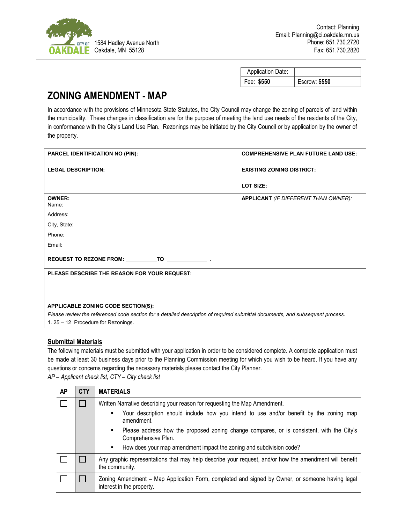

| <b>Application Date:</b> |                      |
|--------------------------|----------------------|
| Fee: \$550               | <b>Escrow: \$550</b> |

## **ZONING AMENDMENT - MAP**

In accordance with the provisions of Minnesota State Statutes, the City Council may change the zoning of parcels of land within the municipality. These changes in classification are for the purpose of meeting the land use needs of the residents of the City, in conformance with the City's Land Use Plan. Rezonings may be initiated by the City Council or by application by the owner of the property.

| <b>PARCEL IDENTIFICATION NO (PIN):</b>                                                                                        | <b>COMPREHENSIVE PLAN FUTURE LAND USE:</b>  |  |  |  |
|-------------------------------------------------------------------------------------------------------------------------------|---------------------------------------------|--|--|--|
| <b>LEGAL DESCRIPTION:</b>                                                                                                     | <b>EXISTING ZONING DISTRICT:</b>            |  |  |  |
|                                                                                                                               | LOT SIZE:                                   |  |  |  |
| <b>OWNER:</b><br>Name:                                                                                                        | <b>APPLICANT</b> (IF DIFFERENT THAN OWNER): |  |  |  |
| Address:                                                                                                                      |                                             |  |  |  |
| City, State:                                                                                                                  |                                             |  |  |  |
| Phone:                                                                                                                        |                                             |  |  |  |
| Email:                                                                                                                        |                                             |  |  |  |
|                                                                                                                               |                                             |  |  |  |
| PLEASE DESCRIBE THE REASON FOR YOUR REQUEST:                                                                                  |                                             |  |  |  |
|                                                                                                                               |                                             |  |  |  |
|                                                                                                                               |                                             |  |  |  |
| APPLICABLE ZONING CODE SECTION(S):                                                                                            |                                             |  |  |  |
| Please review the referenced code section for a detailed description of required submittal documents, and subsequent process. |                                             |  |  |  |
| 1. 25 - 12 Procedure for Rezonings.                                                                                           |                                             |  |  |  |
|                                                                                                                               |                                             |  |  |  |

## **Submittal Materials**

The following materials must be submitted with your application in order to be considered complete. A complete application must be made at least 30 business days prior to the Planning Commission meeting for which you wish to be heard. If you have any questions or concerns regarding the necessary materials please contact the City Planner. *AP – Applicant check list, CTY – City check list*

| AP | <b>CTY</b> | <b>MATERIALS</b>                                                                                                             |  |
|----|------------|------------------------------------------------------------------------------------------------------------------------------|--|
|    |            | Written Narrative describing your reason for requesting the Map Amendment.                                                   |  |
|    |            | Your description should include how you intend to use and/or benefit by the zoning map<br>amendment.                         |  |
|    |            | Please address how the proposed zoning change compares, or is consistent, with the City's<br>٠<br>Comprehensive Plan.        |  |
|    |            | How does your map amendment impact the zoning and subdivision code?<br>٠                                                     |  |
|    |            | Any graphic representations that may help describe your request, and/or how the amendment will benefit<br>the community.     |  |
|    |            | Zoning Amendment - Map Application Form, completed and signed by Owner, or someone having legal<br>interest in the property. |  |